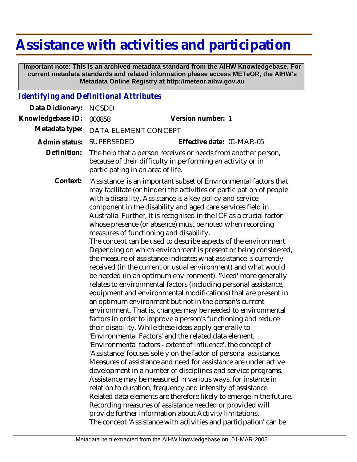## **Assistance with activities and participation**

 **Important note: This is an archived metadata standard from the AIHW Knowledgebase. For current metadata standards and related information please access METeOR, the AIHW's Metadata Online Registry at http://meteor.aihw.gov.au**

## *Identifying and Definitional Attributes*

| Data Dictionary:  | <b>NCSDD</b>                                                                                                                                                                                                                                                                                                                                                                                                                                                                                                                                                                                                                                                                                                                                                                                                                                                                                                                                                                                                                                                                                                                                                                                                                                                                                                                                                                                                                                                                                                                                                                                                                                                                                                                                                                                                                                                                                                                 |
|-------------------|------------------------------------------------------------------------------------------------------------------------------------------------------------------------------------------------------------------------------------------------------------------------------------------------------------------------------------------------------------------------------------------------------------------------------------------------------------------------------------------------------------------------------------------------------------------------------------------------------------------------------------------------------------------------------------------------------------------------------------------------------------------------------------------------------------------------------------------------------------------------------------------------------------------------------------------------------------------------------------------------------------------------------------------------------------------------------------------------------------------------------------------------------------------------------------------------------------------------------------------------------------------------------------------------------------------------------------------------------------------------------------------------------------------------------------------------------------------------------------------------------------------------------------------------------------------------------------------------------------------------------------------------------------------------------------------------------------------------------------------------------------------------------------------------------------------------------------------------------------------------------------------------------------------------------|
| Knowledgebase ID: | Version number: 1<br>000858                                                                                                                                                                                                                                                                                                                                                                                                                                                                                                                                                                                                                                                                                                                                                                                                                                                                                                                                                                                                                                                                                                                                                                                                                                                                                                                                                                                                                                                                                                                                                                                                                                                                                                                                                                                                                                                                                                  |
| Metadata type:    | DATA ELEMENT CONCEPT                                                                                                                                                                                                                                                                                                                                                                                                                                                                                                                                                                                                                                                                                                                                                                                                                                                                                                                                                                                                                                                                                                                                                                                                                                                                                                                                                                                                                                                                                                                                                                                                                                                                                                                                                                                                                                                                                                         |
| Admin status:     | SUPERSEDED<br>Effective date: 01-MAR-05                                                                                                                                                                                                                                                                                                                                                                                                                                                                                                                                                                                                                                                                                                                                                                                                                                                                                                                                                                                                                                                                                                                                                                                                                                                                                                                                                                                                                                                                                                                                                                                                                                                                                                                                                                                                                                                                                      |
| Definition:       | The help that a person receives or needs from another person,<br>because of their difficulty in performing an activity or in<br>participating in an area of life.                                                                                                                                                                                                                                                                                                                                                                                                                                                                                                                                                                                                                                                                                                                                                                                                                                                                                                                                                                                                                                                                                                                                                                                                                                                                                                                                                                                                                                                                                                                                                                                                                                                                                                                                                            |
| Context:          | 'Assistance' is an important subset of Environmental factors that<br>may facilitate (or hinder) the activities or participation of people<br>with a disability. Assistance is a key policy and service<br>component in the disability and aged care services field in<br>Australia. Further, it is recognised in the ICF as a crucial factor<br>whose presence (or absence) must be noted when recording<br>measures of functioning and disability.<br>The concept can be used to describe aspects of the environment.<br>Depending on which environment is present or being considered,<br>the measure of assistance indicates what assistance is currently<br>received (in the current or usual environment) and what would<br>be needed (in an optimum environment). 'Need' more generally<br>relates to environmental factors (including personal assistance,<br>equipment and environmental modifications) that are present in<br>an optimum environment but not in the person's current<br>environment. That is, changes may be needed to environmental<br>factors in order to improve a person's functioning and reduce<br>their disability. While these ideas apply generally to<br>'Environmental Factors' and the related data element,<br>'Environmental factors - extent of influence', the concept of<br>'Assistance' focuses solely on the factor of personal assistance.<br>Measures of assistance and need for assistance are under active<br>development in a number of disciplines and service programs.<br>Assistance may be measured in various ways, for instance in<br>relation to duration, frequency and intensity of assistance.<br>Related data elements are therefore likely to emerge in the future.<br>Recording measures of assistance needed or provided will<br>provide further information about Activity limitations.<br>The concept 'Assistance with activities and participation' can be |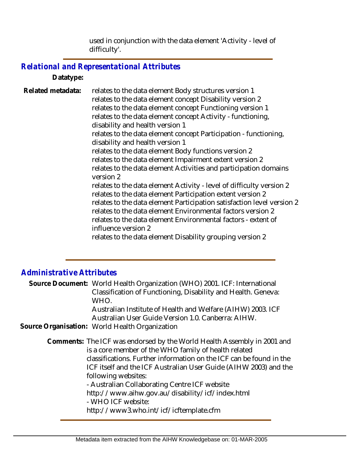used in conjunction with the data element 'Activity - level of difficulty'.

## *Relational and Representational Attributes*

**Datatype:**

relates to the data element Body structures version 1 relates to the data element concept Disability version 2 relates to the data element concept Functioning version 1 relates to the data element concept Activity - functioning, disability and health version 1 relates to the data element concept Participation - functioning, disability and health version 1 relates to the data element Body functions version 2 relates to the data element Impairment extent version 2 relates to the data element Activities and participation domains version 2 relates to the data element Activity - level of difficulty version 2 relates to the data element Participation extent version 2 relates to the data element Participation satisfaction level version 2 relates to the data element Environmental factors version 2 relates to the data element Environmental factors - extent of influence version 2 relates to the data element Disability grouping version 2 **Related metadata:**

## *Administrative Attributes*

Source Document: World Health Organization (WHO) 2001. ICF: International Classification of Functioning, Disability and Health. Geneva: WHO.

Australian Institute of Health and Welfare (AIHW) 2003. ICF Australian User Guide Version 1.0. Canberra: AIHW.

**Source Organisation:** World Health Organization

Comments: The ICF was endorsed by the World Health Assembly in 2001 and is a core member of the WHO family of health related classifications. Further information on the ICF can be found in the ICF itself and the ICF Australian User Guide (AIHW 2003) and the following websites: - Australian Collaborating Centre ICF website

http://www.aihw.gov.au/disability/icf/index.html

- WHO ICF website:

http://www3.who.int/icf/icftemplate.cfm